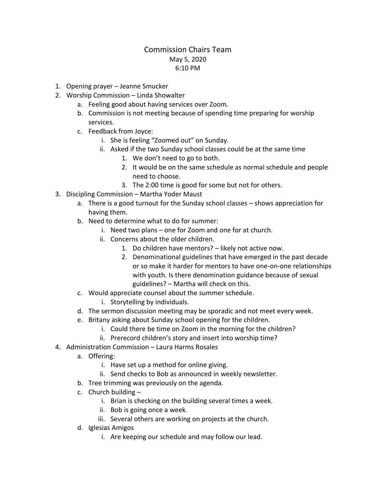## Commission Chairs Team May 5, 2020 6:10 PM

- 1. Opening prayer Jeanne Smucker
- 2. Worship Commission Linda Showalter
	- a. Feeling good about having services over Zoom.
	- b. Commission is not meeting because of spending time preparing for worship services.
	- c. Feedback from Joyce:
		- i. She is feeling "Zoomed out" on Sunday.
		- ii. Asked if the two Sunday school classes could be at the same time
			- 1. We don't need to go to both.
			- 2. It would be on the same schedule as normal schedule and people need to choose.
			- 3. The 2:00 time is good for some but not for others.
- 3. Discipling Commission Martha Yoder Maust
	- a. There is a good turnout for the Sunday school classes shows appreciation for having them.
	- b. Need to determine what to do for summer:
		- i. Need two plans one for Zoom and one for at church.
		- ii. Concerns about the older children.
			- 1. Do children have mentors? likely not active now.
			- 2. Denominational guidelines that have emerged in the past decade or so make it harder for mentors to have one-on-one relationships with youth. Is there denomination guidance because of sexual guidelines? – Martha will check on this.
	- c. Would appreciate counsel about the summer schedule.

i. Storytelling by individuals.

- d. The sermon discussion meeting may be sporadic and not meet every week.
- e. Britany asking about Sunday school opening for the children.
	- i. Could there be time on Zoom in the morning for the children?
	- ii. Prerecord children's story and insert into worship time?
- 4. Administration Commission Laura Harms Rosales
	- a. Offering:
		- i. Have set up a method for online giving.
		- ii. Send checks to Bob as announced in weekly newsletter.
	- b. Tree trimming was previously on the agenda.
	- c. Church building  $$ 
		- i. Brian is checking on the building several times a week.
		- ii. Bob is going once a week.
		- iii. Several others are working on projects at the church.
	- d. Iglesias Amigos
		- i. Are keeping our schedule and may follow our lead.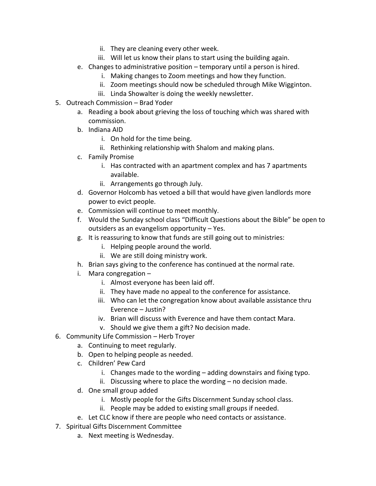- ii. They are cleaning every other week.
- iii. Will let us know their plans to start using the building again.
- e. Changes to administrative position temporary until a person is hired.
	- i. Making changes to Zoom meetings and how they function.
	- ii. Zoom meetings should now be scheduled through Mike Wigginton.
	- iii. Linda Showalter is doing the weekly newsletter.
- 5. Outreach Commission Brad Yoder
	- a. Reading a book about grieving the loss of touching which was shared with commission.
	- b. Indiana AID
		- i. On hold for the time being.
		- ii. Rethinking relationship with Shalom and making plans.
	- c. Family Promise
		- i. Has contracted with an apartment complex and has 7 apartments available.
		- ii. Arrangements go through July.
	- d. Governor Holcomb has vetoed a bill that would have given landlords more power to evict people.
	- e. Commission will continue to meet monthly.
	- f. Would the Sunday school class "Difficult Questions about the Bible" be open to outsiders as an evangelism opportunity – Yes.
	- g. It is reassuring to know that funds are still going out to ministries:
		- i. Helping people around the world.
		- ii. We are still doing ministry work.
	- h. Brian says giving to the conference has continued at the normal rate.
	- i. Mara congregation
		- i. Almost everyone has been laid off.
		- ii. They have made no appeal to the conference for assistance.
		- iii. Who can let the congregation know about available assistance thru Everence – Justin?
		- iv. Brian will discuss with Everence and have them contact Mara.
		- v. Should we give them a gift? No decision made.
- 6. Community Life Commission Herb Troyer
	- a. Continuing to meet regularly.
	- b. Open to helping people as needed.
	- c. Children' Pew Card
		- i. Changes made to the wording adding downstairs and fixing typo.
		- ii. Discussing where to place the wording no decision made.
	- d. One small group added
		- i. Mostly people for the Gifts Discernment Sunday school class.
		- ii. People may be added to existing small groups if needed.
	- e. Let CLC know if there are people who need contacts or assistance.
- 7. Spiritual Gifts Discernment Committee
	- a. Next meeting is Wednesday.